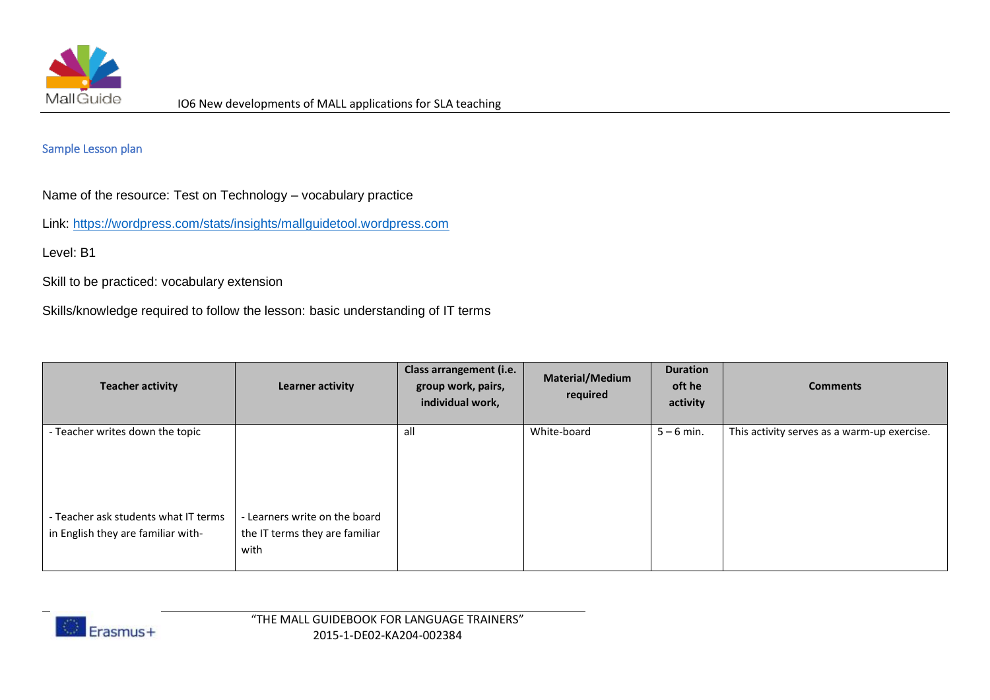

## Sample Lesson plan

Name of the resource: Test on Technology – vocabulary practice

Link:<https://wordpress.com/stats/insights/mallguidetool.wordpress.com>

Level: B1

Skill to be practiced: vocabulary extension

Skills/knowledge required to follow the lesson: basic understanding of IT terms

| <b>Teacher activity</b>                                                    | Learner activity                                                        | Class arrangement (i.e.<br>group work, pairs,<br>individual work, | Material/Medium<br>required | <b>Duration</b><br>oft he<br>activity | <b>Comments</b>                             |
|----------------------------------------------------------------------------|-------------------------------------------------------------------------|-------------------------------------------------------------------|-----------------------------|---------------------------------------|---------------------------------------------|
| - Teacher writes down the topic                                            |                                                                         | all                                                               | White-board                 | $5 - 6$ min.                          | This activity serves as a warm-up exercise. |
| - Teacher ask students what IT terms<br>in English they are familiar with- | - Learners write on the board<br>the IT terms they are familiar<br>with |                                                                   |                             |                                       |                                             |

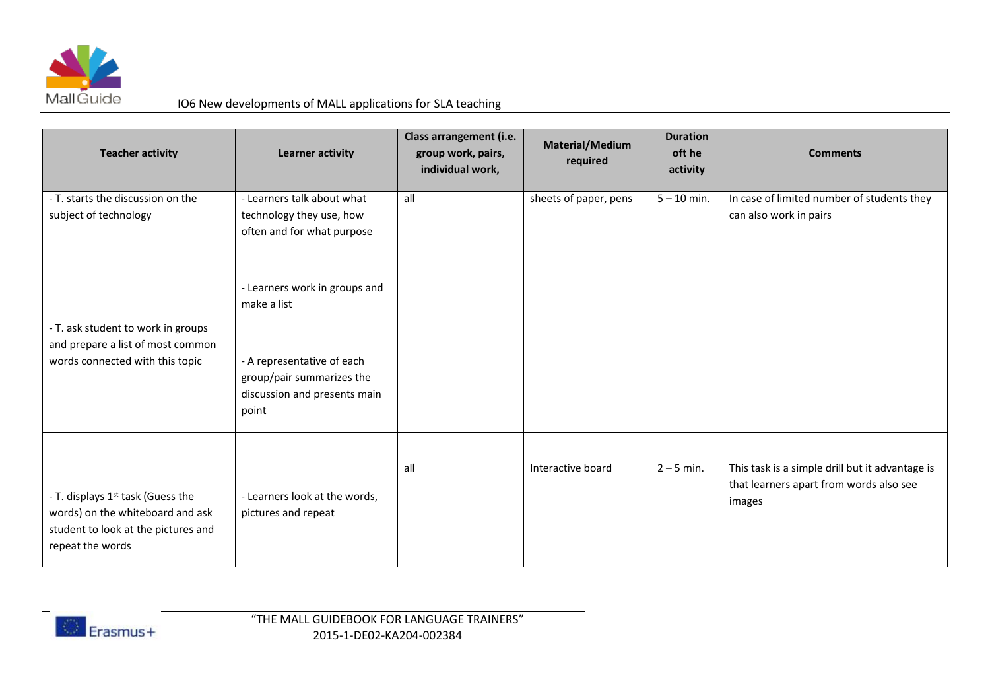

## IO6 New developments of MALL applications for SLA teaching

| <b>Teacher activity</b>                                                           | <b>Learner activity</b>                                | Class arrangement (i.e.<br>group work, pairs,<br>individual work, | <b>Material/Medium</b><br>required | <b>Duration</b><br>oft he<br>activity | <b>Comments</b>                                                                            |
|-----------------------------------------------------------------------------------|--------------------------------------------------------|-------------------------------------------------------------------|------------------------------------|---------------------------------------|--------------------------------------------------------------------------------------------|
| - T. starts the discussion on the                                                 | - Learners talk about what                             | all                                                               | sheets of paper, pens              | $5 - 10$ min.                         | In case of limited number of students they                                                 |
| subject of technology                                                             | technology they use, how<br>often and for what purpose |                                                                   |                                    |                                       | can also work in pairs                                                                     |
|                                                                                   | - Learners work in groups and                          |                                                                   |                                    |                                       |                                                                                            |
|                                                                                   | make a list                                            |                                                                   |                                    |                                       |                                                                                            |
| - T. ask student to work in groups                                                |                                                        |                                                                   |                                    |                                       |                                                                                            |
| and prepare a list of most common<br>words connected with this topic              | - A representative of each                             |                                                                   |                                    |                                       |                                                                                            |
|                                                                                   | group/pair summarizes the                              |                                                                   |                                    |                                       |                                                                                            |
|                                                                                   | discussion and presents main                           |                                                                   |                                    |                                       |                                                                                            |
|                                                                                   | point                                                  |                                                                   |                                    |                                       |                                                                                            |
|                                                                                   |                                                        |                                                                   |                                    |                                       |                                                                                            |
|                                                                                   |                                                        | all                                                               | Interactive board                  | $2 - 5$ min.                          | This task is a simple drill but it advantage is<br>that learners apart from words also see |
| - T. displays 1 <sup>st</sup> task (Guess the<br>words) on the whiteboard and ask | - Learners look at the words,<br>pictures and repeat   |                                                                   |                                    |                                       | images                                                                                     |
| student to look at the pictures and<br>repeat the words                           |                                                        |                                                                   |                                    |                                       |                                                                                            |